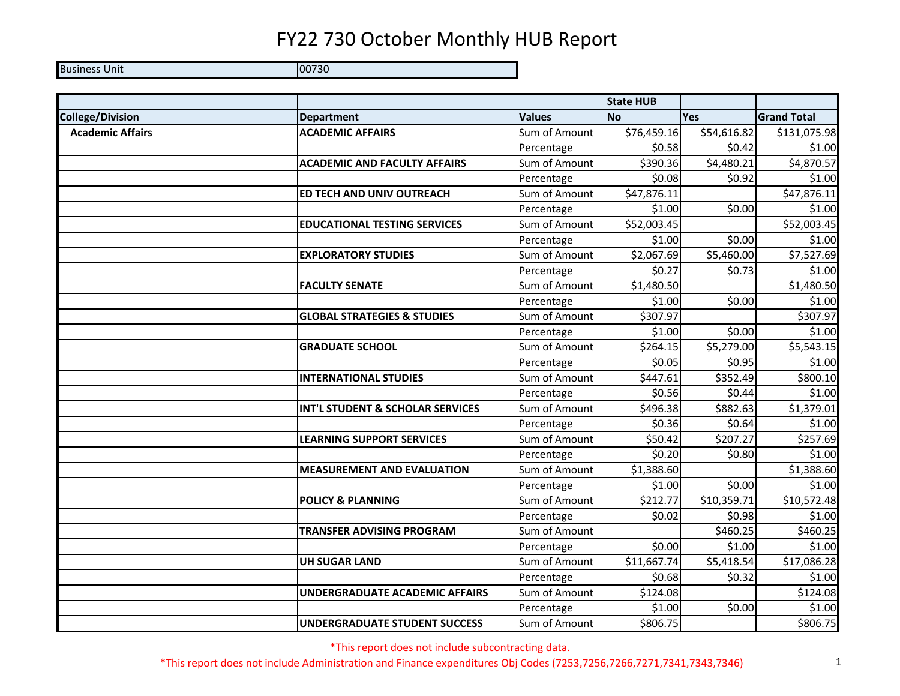Business Unit **District Contract Contract Contract Contract Contract Contract Contract Contract Contract Contract Contract Contract Contract Contract Contract Contract Contract Contract Contract Contract Contract Contract** 

|                         |                                        |               | <b>State HUB</b> |             |                    |
|-------------------------|----------------------------------------|---------------|------------------|-------------|--------------------|
| <b>College/Division</b> | <b>Department</b>                      | <b>Values</b> | <b>No</b>        | Yes         | <b>Grand Total</b> |
| <b>Academic Affairs</b> | <b>ACADEMIC AFFAIRS</b>                | Sum of Amount | \$76,459.16      | \$54,616.82 | \$131,075.98       |
|                         |                                        | Percentage    | \$0.58           | \$0.42      | \$1.00             |
|                         | <b>ACADEMIC AND FACULTY AFFAIRS</b>    | Sum of Amount | \$390.36         | \$4,480.21  | \$4,870.57         |
|                         |                                        | Percentage    | \$0.08           | \$0.92      | \$1.00             |
|                         | <b>ED TECH AND UNIV OUTREACH</b>       | Sum of Amount | \$47,876.11      |             | \$47,876.11        |
|                         |                                        | Percentage    | \$1.00           | \$0.00      | \$1.00             |
|                         | <b>EDUCATIONAL TESTING SERVICES</b>    | Sum of Amount | \$52,003.45      |             | \$52,003.45        |
|                         |                                        | Percentage    | \$1.00           | \$0.00      | \$1.00             |
|                         | <b>EXPLORATORY STUDIES</b>             | Sum of Amount | \$2,067.69       | \$5,460.00  | \$7,527.69         |
|                         |                                        | Percentage    | \$0.27           | \$0.73      | \$1.00             |
|                         | <b>FACULTY SENATE</b>                  | Sum of Amount | \$1,480.50       |             | \$1,480.50         |
|                         |                                        | Percentage    | \$1.00           | \$0.00      | \$1.00             |
|                         | <b>GLOBAL STRATEGIES &amp; STUDIES</b> | Sum of Amount | \$307.97         |             | \$307.97           |
|                         |                                        | Percentage    | \$1.00           | \$0.00      | \$1.00             |
|                         | <b>GRADUATE SCHOOL</b>                 | Sum of Amount | \$264.15         | \$5,279.00  | \$5,543.15         |
|                         |                                        | Percentage    | \$0.05           | \$0.95      | \$1.00             |
|                         | <b>INTERNATIONAL STUDIES</b>           | Sum of Amount | \$447.61         | \$352.49    | \$800.10           |
|                         |                                        | Percentage    | \$0.56           | \$0.44      | \$1.00             |
|                         | INT'L STUDENT & SCHOLAR SERVICES       | Sum of Amount | \$496.38         | \$882.63    | \$1,379.01         |
|                         |                                        | Percentage    | \$0.36           | \$0.64      | \$1.00             |
|                         | <b>LEARNING SUPPORT SERVICES</b>       | Sum of Amount | \$50.42          | \$207.27    | \$257.69           |
|                         |                                        | Percentage    | \$0.20           | \$0.80      | \$1.00             |
|                         | <b>MEASUREMENT AND EVALUATION</b>      | Sum of Amount | \$1,388.60       |             | \$1,388.60         |
|                         |                                        | Percentage    | \$1.00           | \$0.00      | \$1.00             |
|                         | <b>POLICY &amp; PLANNING</b>           | Sum of Amount | \$212.77         | \$10,359.71 | \$10,572.48        |
|                         |                                        | Percentage    | \$0.02           | \$0.98      | \$1.00             |
|                         | TRANSFER ADVISING PROGRAM              | Sum of Amount |                  | \$460.25    | \$460.25           |
|                         |                                        | Percentage    | \$0.00           | \$1.00      | \$1.00             |
|                         | <b>UH SUGAR LAND</b>                   | Sum of Amount | \$11,667.74      | \$5,418.54  | \$17,086.28        |
|                         |                                        | Percentage    | \$0.68           | \$0.32      | \$1.00             |
|                         | UNDERGRADUATE ACADEMIC AFFAIRS         | Sum of Amount | \$124.08         |             | \$124.08           |
|                         |                                        | Percentage    | \$1.00           | \$0.00      | \$1.00             |
|                         | UNDERGRADUATE STUDENT SUCCESS          | Sum of Amount | \$806.75         |             | \$806.75           |

\*This report does not include subcontracting data.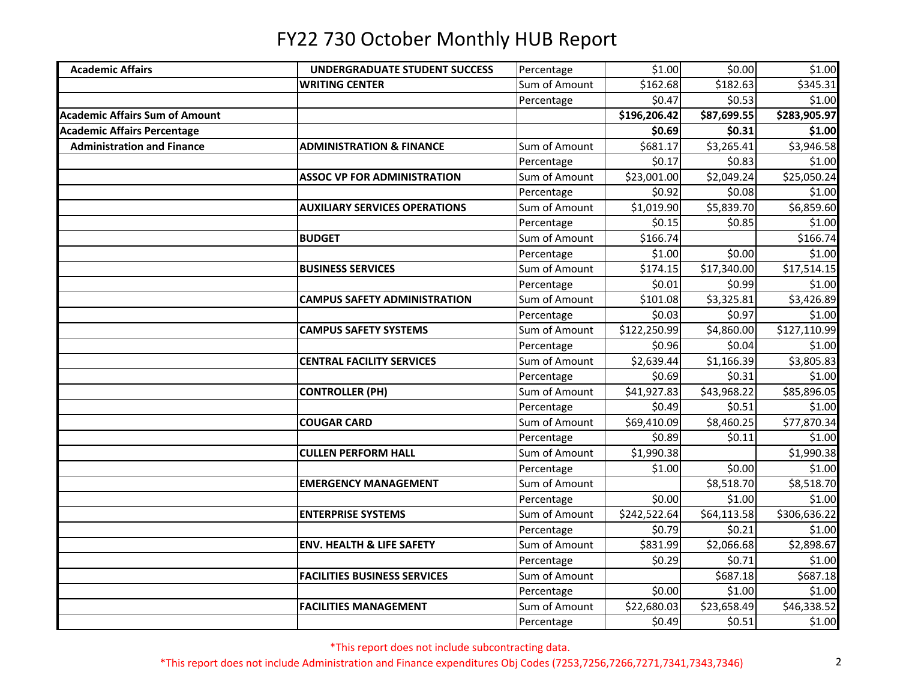| <b>Academic Affairs</b>               | <b>UNDERGRADUATE STUDENT SUCCESS</b> | Percentage    | \$1.00       | \$0.00      | \$1.00       |
|---------------------------------------|--------------------------------------|---------------|--------------|-------------|--------------|
|                                       | <b>WRITING CENTER</b>                | Sum of Amount | \$162.68     | \$182.63    | \$345.31     |
|                                       |                                      | Percentage    | \$0.47       | \$0.53      | \$1.00       |
| <b>Academic Affairs Sum of Amount</b> |                                      |               | \$196,206.42 | \$87,699.55 | \$283,905.97 |
| <b>Academic Affairs Percentage</b>    |                                      |               | \$0.69       | \$0.31      | \$1.00       |
| <b>Administration and Finance</b>     | <b>ADMINISTRATION &amp; FINANCE</b>  | Sum of Amount | \$681.17     | \$3,265.41  | \$3,946.58   |
|                                       |                                      | Percentage    | \$0.17       | \$0.83      | \$1.00       |
|                                       | <b>ASSOC VP FOR ADMINISTRATION</b>   | Sum of Amount | \$23,001.00  | \$2,049.24  | \$25,050.24  |
|                                       |                                      | Percentage    | \$0.92       | \$0.08      | \$1.00       |
|                                       | <b>AUXILIARY SERVICES OPERATIONS</b> | Sum of Amount | \$1,019.90   | \$5,839.70  | \$6,859.60   |
|                                       |                                      | Percentage    | \$0.15       | \$0.85      | \$1.00       |
|                                       | <b>BUDGET</b>                        | Sum of Amount | \$166.74     |             | \$166.74     |
|                                       |                                      | Percentage    | \$1.00       | \$0.00      | \$1.00       |
|                                       | <b>BUSINESS SERVICES</b>             | Sum of Amount | \$174.15     | \$17,340.00 | \$17,514.15  |
|                                       |                                      | Percentage    | \$0.01       | \$0.99      | \$1.00       |
|                                       | <b>CAMPUS SAFETY ADMINISTRATION</b>  | Sum of Amount | \$101.08     | \$3,325.81  | \$3,426.89   |
|                                       |                                      | Percentage    | \$0.03       | \$0.97      | \$1.00       |
|                                       | <b>CAMPUS SAFETY SYSTEMS</b>         | Sum of Amount | \$122,250.99 | \$4,860.00  | \$127,110.99 |
|                                       |                                      | Percentage    | \$0.96       | \$0.04      | \$1.00       |
|                                       | <b>CENTRAL FACILITY SERVICES</b>     | Sum of Amount | \$2,639.44   | \$1,166.39  | \$3,805.83   |
|                                       |                                      | Percentage    | \$0.69       | \$0.31      | \$1.00       |
|                                       | <b>CONTROLLER (PH)</b>               | Sum of Amount | \$41,927.83  | \$43,968.22 | \$85,896.05  |
|                                       |                                      | Percentage    | \$0.49       | \$0.51      | \$1.00       |
|                                       | <b>COUGAR CARD</b>                   | Sum of Amount | \$69,410.09  | \$8,460.25  | \$77,870.34  |
|                                       |                                      | Percentage    | \$0.89       | \$0.11      | \$1.00       |
|                                       | <b>CULLEN PERFORM HALL</b>           | Sum of Amount | \$1,990.38   |             | \$1,990.38   |
|                                       |                                      | Percentage    | \$1.00       | \$0.00      | 51.00        |
|                                       | <b>EMERGENCY MANAGEMENT</b>          | Sum of Amount |              | \$8,518.70  | \$8,518.70   |
|                                       |                                      | Percentage    | \$0.00       | \$1.00      | \$1.00       |
|                                       | <b>ENTERPRISE SYSTEMS</b>            | Sum of Amount | \$242,522.64 | \$64,113.58 | \$306,636.22 |
|                                       |                                      | Percentage    | \$0.79       | \$0.21      | \$1.00       |
|                                       | <b>ENV. HEALTH &amp; LIFE SAFETY</b> | Sum of Amount | \$831.99     | \$2,066.68  | \$2,898.67   |
|                                       |                                      | Percentage    | \$0.29       | \$0.71      | \$1.00       |
|                                       | <b>FACILITIES BUSINESS SERVICES</b>  | Sum of Amount |              | \$687.18    | \$687.18     |
|                                       |                                      | Percentage    | \$0.00       | \$1.00      | \$1.00       |
|                                       | <b>FACILITIES MANAGEMENT</b>         | Sum of Amount | \$22,680.03  | \$23,658.49 | \$46,338.52  |
|                                       |                                      | Percentage    | \$0.49       | \$0.51      | \$1.00       |

\*This report does not include subcontracting data.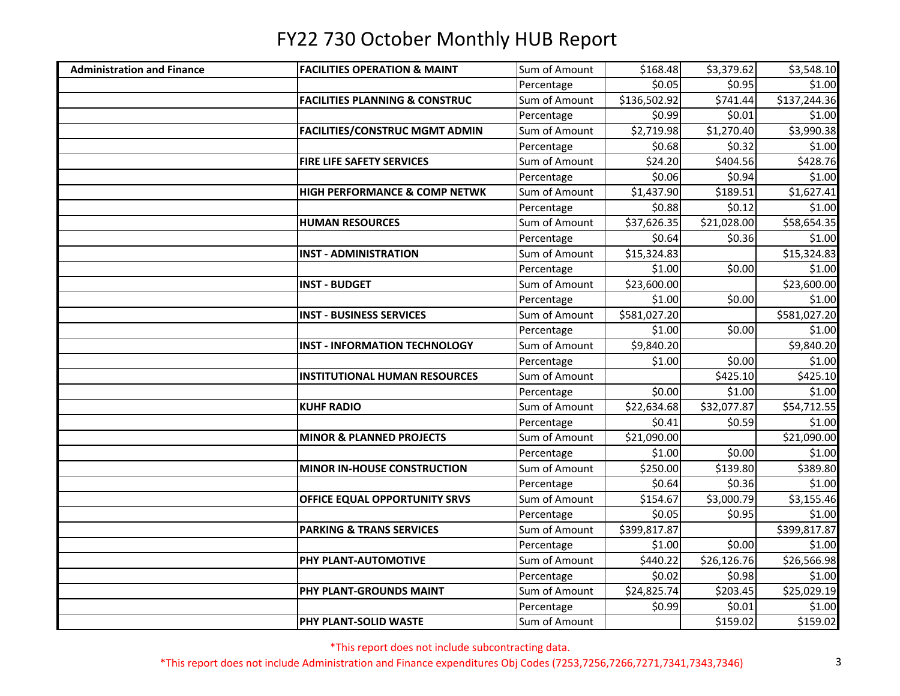| <b>Administration and Finance</b> | <b>FACILITIES OPERATION &amp; MAINT</b>   | Sum of Amount | \$168.48     | \$3,379.62  | \$3,548.10   |
|-----------------------------------|-------------------------------------------|---------------|--------------|-------------|--------------|
|                                   |                                           | Percentage    | \$0.05       | \$0.95      | \$1.00       |
|                                   | <b>FACILITIES PLANNING &amp; CONSTRUC</b> | Sum of Amount | \$136,502.92 | \$741.44    | \$137,244.36 |
|                                   |                                           | Percentage    | \$0.99       | \$0.01      | \$1.00       |
|                                   | <b>FACILITIES/CONSTRUC MGMT ADMIN</b>     | Sum of Amount | \$2,719.98   | \$1,270.40  | \$3,990.38   |
|                                   |                                           | Percentage    | \$0.68       | \$0.32      | \$1.00       |
|                                   | FIRE LIFE SAFETY SERVICES                 | Sum of Amount | \$24.20      | \$404.56    | \$428.76     |
|                                   |                                           | Percentage    | \$0.06       | \$0.94      | \$1.00       |
|                                   | <b>HIGH PERFORMANCE &amp; COMP NETWK</b>  | Sum of Amount | \$1,437.90   | \$189.51    | \$1,627.41   |
|                                   |                                           | Percentage    | \$0.88       | \$0.12      | \$1.00       |
|                                   | <b>HUMAN RESOURCES</b>                    | Sum of Amount | \$37,626.35  | \$21,028.00 | \$58,654.35  |
|                                   |                                           | Percentage    | \$0.64       | \$0.36      | \$1.00       |
|                                   | <b>INST - ADMINISTRATION</b>              | Sum of Amount | \$15,324.83  |             | \$15,324.83  |
|                                   |                                           | Percentage    | \$1.00       | \$0.00      | \$1.00       |
|                                   | <b>INST - BUDGET</b>                      | Sum of Amount | \$23,600.00  |             | \$23,600.00  |
|                                   |                                           | Percentage    | \$1.00       | \$0.00      | \$1.00       |
|                                   | <b>INST - BUSINESS SERVICES</b>           | Sum of Amount | \$581,027.20 |             | \$581,027.20 |
|                                   |                                           | Percentage    | \$1.00       | \$0.00      | \$1.00       |
|                                   | <b>INST - INFORMATION TECHNOLOGY</b>      | Sum of Amount | \$9,840.20   |             | \$9,840.20   |
|                                   |                                           | Percentage    | \$1.00       | \$0.00      | \$1.00       |
|                                   | <b>INSTITUTIONAL HUMAN RESOURCES</b>      | Sum of Amount |              | \$425.10    | \$425.10     |
|                                   |                                           | Percentage    | \$0.00       | \$1.00      | \$1.00       |
|                                   | <b>KUHF RADIO</b>                         | Sum of Amount | \$22,634.68  | \$32,077.87 | \$54,712.55  |
|                                   |                                           | Percentage    | \$0.41       | \$0.59      | \$1.00       |
|                                   | <b>MINOR &amp; PLANNED PROJECTS</b>       | Sum of Amount | \$21,090.00  |             | \$21,090.00  |
|                                   |                                           | Percentage    | \$1.00       | \$0.00      | \$1.00       |
|                                   | <b>MINOR IN-HOUSE CONSTRUCTION</b>        | Sum of Amount | \$250.00     | \$139.80    | \$389.80     |
|                                   |                                           | Percentage    | \$0.64       | \$0.36      | \$1.00       |
|                                   | OFFICE EQUAL OPPORTUNITY SRVS             | Sum of Amount | \$154.67     | \$3,000.79  | \$3,155.46   |
|                                   |                                           | Percentage    | \$0.05       | \$0.95      | \$1.00       |
|                                   | <b>PARKING &amp; TRANS SERVICES</b>       | Sum of Amount | \$399,817.87 |             | \$399,817.87 |
|                                   |                                           | Percentage    | \$1.00       | \$0.00      | \$1.00       |
|                                   | PHY PLANT-AUTOMOTIVE                      | Sum of Amount | \$440.22     | \$26,126.76 | \$26,566.98  |
|                                   |                                           | Percentage    | \$0.02       | \$0.98      | \$1.00       |
|                                   | PHY PLANT-GROUNDS MAINT                   | Sum of Amount | \$24,825.74  | \$203.45    | \$25,029.19  |
|                                   |                                           | Percentage    | \$0.99       | \$0.01      | \$1.00       |
|                                   | PHY PLANT-SOLID WASTE                     | Sum of Amount |              | \$159.02    | \$159.02     |

\*This report does not include subcontracting data.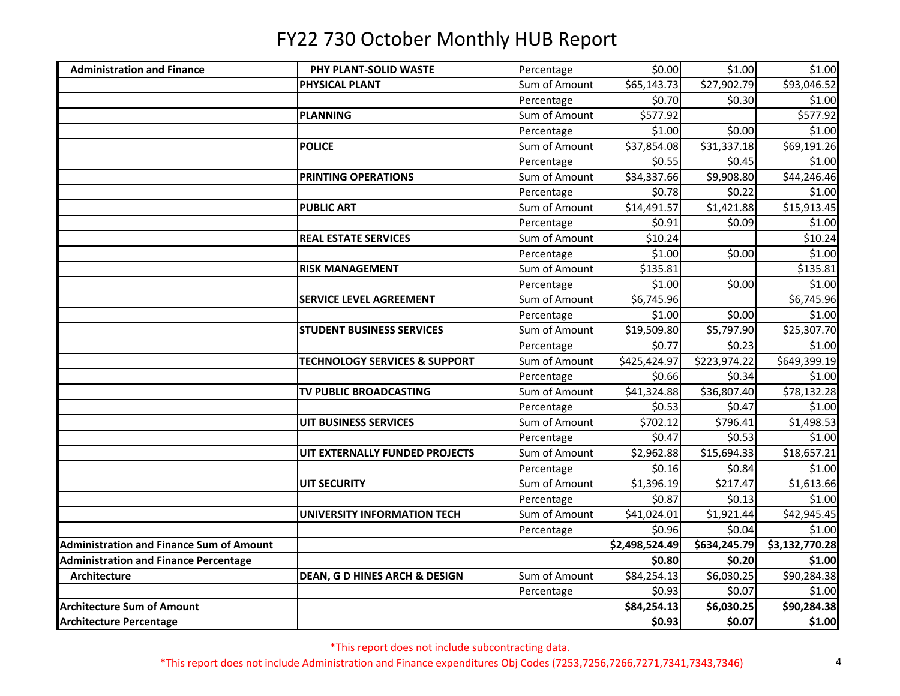| <b>Administration and Finance</b>               | PHY PLANT-SOLID WASTE                    | Percentage    | \$0.00         | \$1.00       | \$1.00         |
|-------------------------------------------------|------------------------------------------|---------------|----------------|--------------|----------------|
|                                                 | PHYSICAL PLANT                           | Sum of Amount | \$65,143.73    | \$27,902.79  | \$93,046.52    |
|                                                 |                                          | Percentage    | \$0.70         | \$0.30       | \$1.00         |
|                                                 | <b>PLANNING</b>                          | Sum of Amount | \$577.92       |              | \$577.92       |
|                                                 |                                          | Percentage    | \$1.00         | \$0.00       | \$1.00         |
|                                                 | <b>POLICE</b>                            | Sum of Amount | \$37,854.08    | \$31,337.18  | \$69,191.26    |
|                                                 |                                          | Percentage    | \$0.55         | \$0.45       | \$1.00         |
|                                                 | PRINTING OPERATIONS                      | Sum of Amount | \$34,337.66    | \$9,908.80   | \$44,246.46    |
|                                                 |                                          | Percentage    | \$0.78         | \$0.22       | \$1.00         |
|                                                 | <b>PUBLIC ART</b>                        | Sum of Amount | \$14,491.57    | \$1,421.88   | \$15,913.45    |
|                                                 |                                          | Percentage    | \$0.91         | \$0.09       | \$1.00         |
|                                                 | <b>REAL ESTATE SERVICES</b>              | Sum of Amount | \$10.24        |              | \$10.24        |
|                                                 |                                          | Percentage    | \$1.00         | \$0.00       | \$1.00         |
|                                                 | <b>RISK MANAGEMENT</b>                   | Sum of Amount | \$135.81       |              | \$135.81       |
|                                                 |                                          | Percentage    | \$1.00         | \$0.00       | \$1.00         |
|                                                 | SERVICE LEVEL AGREEMENT                  | Sum of Amount | \$6,745.96     |              | \$6,745.96     |
|                                                 |                                          | Percentage    | \$1.00         | \$0.00       | \$1.00         |
|                                                 | <b>STUDENT BUSINESS SERVICES</b>         | Sum of Amount | \$19,509.80    | \$5,797.90   | \$25,307.70    |
|                                                 |                                          | Percentage    | \$0.77         | \$0.23       | \$1.00         |
|                                                 | <b>TECHNOLOGY SERVICES &amp; SUPPORT</b> | Sum of Amount | \$425,424.97   | \$223,974.22 | \$649,399.19   |
|                                                 |                                          | Percentage    | \$0.66         | \$0.34       | \$1.00         |
|                                                 | TV PUBLIC BROADCASTING                   | Sum of Amount | \$41,324.88    | \$36,807.40  | \$78,132.28    |
|                                                 |                                          | Percentage    | \$0.53         | \$0.47       | \$1.00         |
|                                                 | <b>UIT BUSINESS SERVICES</b>             | Sum of Amount | \$702.12       | \$796.41     | \$1,498.53     |
|                                                 |                                          | Percentage    | \$0.47         | \$0.53       | \$1.00         |
|                                                 | UIT EXTERNALLY FUNDED PROJECTS           | Sum of Amount | \$2,962.88     | \$15,694.33  | \$18,657.21    |
|                                                 |                                          | Percentage    | \$0.16         | \$0.84       | \$1.00         |
|                                                 | <b>UIT SECURITY</b>                      | Sum of Amount | \$1,396.19     | \$217.47     | \$1,613.66     |
|                                                 |                                          | Percentage    | \$0.87         | \$0.13       | \$1.00         |
|                                                 | <b>UNIVERSITY INFORMATION TECH</b>       | Sum of Amount | \$41,024.01    | \$1,921.44   | \$42,945.45    |
|                                                 |                                          | Percentage    | \$0.96         | \$0.04       | \$1.00         |
| <b>Administration and Finance Sum of Amount</b> |                                          |               | \$2,498,524.49 | \$634,245.79 | \$3,132,770.28 |
| <b>Administration and Finance Percentage</b>    |                                          |               | \$0.80         | \$0.20       | \$1.00         |
| <b>Architecture</b>                             | <b>DEAN, G D HINES ARCH &amp; DESIGN</b> | Sum of Amount | \$84,254.13    | \$6,030.25   | \$90,284.38    |
|                                                 |                                          | Percentage    | \$0.93         | \$0.07       | \$1.00         |
| <b>Architecture Sum of Amount</b>               |                                          |               | \$84,254.13    | \$6,030.25   | \$90,284.38    |
| <b>Architecture Percentage</b>                  |                                          |               | \$0.93         | \$0.07       | \$1.00         |

\*This report does not include subcontracting data.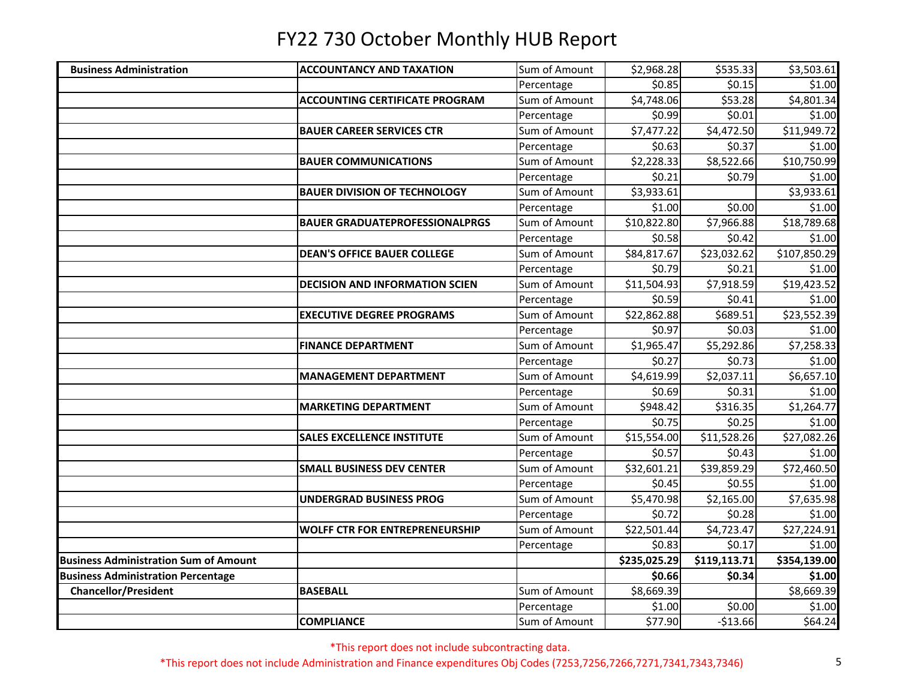| <b>Business Administration</b>               | <b>ACCOUNTANCY AND TAXATION</b>       | Sum of Amount | \$2,968.28   | \$535.33     | \$3,503.61   |
|----------------------------------------------|---------------------------------------|---------------|--------------|--------------|--------------|
|                                              |                                       | Percentage    | \$0.85       | \$0.15       | \$1.00       |
|                                              | <b>ACCOUNTING CERTIFICATE PROGRAM</b> | Sum of Amount | \$4,748.06   | \$53.28      | \$4,801.34   |
|                                              |                                       | Percentage    | \$0.99       | \$0.01       | \$1.00       |
|                                              | <b>BAUER CAREER SERVICES CTR</b>      | Sum of Amount | \$7,477.22   | \$4,472.50   | \$11,949.72  |
|                                              |                                       | Percentage    | \$0.63       | \$0.37       | \$1.00       |
|                                              | <b>BAUER COMMUNICATIONS</b>           | Sum of Amount | \$2,228.33   | \$8,522.66   | \$10,750.99  |
|                                              |                                       | Percentage    | \$0.21       | \$0.79       | \$1.00       |
|                                              | <b>BAUER DIVISION OF TECHNOLOGY</b>   | Sum of Amount | \$3,933.61   |              | \$3,933.61   |
|                                              |                                       | Percentage    | \$1.00       | \$0.00       | \$1.00       |
|                                              | <b>BAUER GRADUATEPROFESSIONALPRGS</b> | Sum of Amount | \$10,822.80  | \$7,966.88   | \$18,789.68  |
|                                              |                                       | Percentage    | \$0.58       | \$0.42       | \$1.00       |
|                                              | <b>DEAN'S OFFICE BAUER COLLEGE</b>    | Sum of Amount | \$84,817.67  | \$23,032.62  | \$107,850.29 |
|                                              |                                       | Percentage    | \$0.79       | \$0.21       | \$1.00       |
|                                              | <b>DECISION AND INFORMATION SCIEN</b> | Sum of Amount | \$11,504.93  | \$7,918.59   | \$19,423.52  |
|                                              |                                       | Percentage    | \$0.59       | \$0.41       | \$1.00       |
|                                              | <b>EXECUTIVE DEGREE PROGRAMS</b>      | Sum of Amount | \$22,862.88  | \$689.51     | \$23,552.39  |
|                                              |                                       | Percentage    | \$0.97       | \$0.03       | \$1.00       |
|                                              | <b>FINANCE DEPARTMENT</b>             | Sum of Amount | \$1,965.47   | \$5,292.86   | \$7,258.33   |
|                                              |                                       | Percentage    | \$0.27       | \$0.73       | \$1.00       |
|                                              | <b>MANAGEMENT DEPARTMENT</b>          | Sum of Amount | \$4,619.99   | \$2,037.11   | \$6,657.10   |
|                                              |                                       | Percentage    | \$0.69       | \$0.31       | \$1.00       |
|                                              | <b>MARKETING DEPARTMENT</b>           | Sum of Amount | \$948.42     | 5316.35      | \$1,264.77   |
|                                              |                                       | Percentage    | \$0.75       | \$0.25       | \$1.00       |
|                                              | <b>SALES EXCELLENCE INSTITUTE</b>     | Sum of Amount | \$15,554.00  | \$11,528.26  | \$27,082.26  |
|                                              |                                       | Percentage    | \$0.57       | \$0.43       | \$1.00       |
|                                              | <b>SMALL BUSINESS DEV CENTER</b>      | Sum of Amount | \$32,601.21  | \$39,859.29  | \$72,460.50  |
|                                              |                                       | Percentage    | \$0.45       | \$0.55       | \$1.00       |
|                                              | <b>UNDERGRAD BUSINESS PROG</b>        | Sum of Amount | \$5,470.98   | \$2,165.00   | \$7,635.98   |
|                                              |                                       | Percentage    | \$0.72       | \$0.28       | \$1.00       |
|                                              | <b>WOLFF CTR FOR ENTREPRENEURSHIP</b> | Sum of Amount | \$22,501.44  | \$4,723.47   | \$27,224.91  |
|                                              |                                       | Percentage    | \$0.83       | \$0.17       | \$1.00       |
| <b>Business Administration Sum of Amount</b> |                                       |               | \$235,025.29 | \$119,113.71 | \$354,139.00 |
| <b>Business Administration Percentage</b>    |                                       |               | \$0.66       | \$0.34       | \$1.00       |
| <b>Chancellor/President</b>                  | <b>BASEBALL</b>                       | Sum of Amount | \$8,669.39   |              | \$8,669.39   |
|                                              |                                       | Percentage    | \$1.00       | \$0.00       | \$1.00       |
|                                              | <b>COMPLIANCE</b>                     | Sum of Amount | \$77.90      | $-$13.66$    | \$64.24      |

\*This report does not include subcontracting data.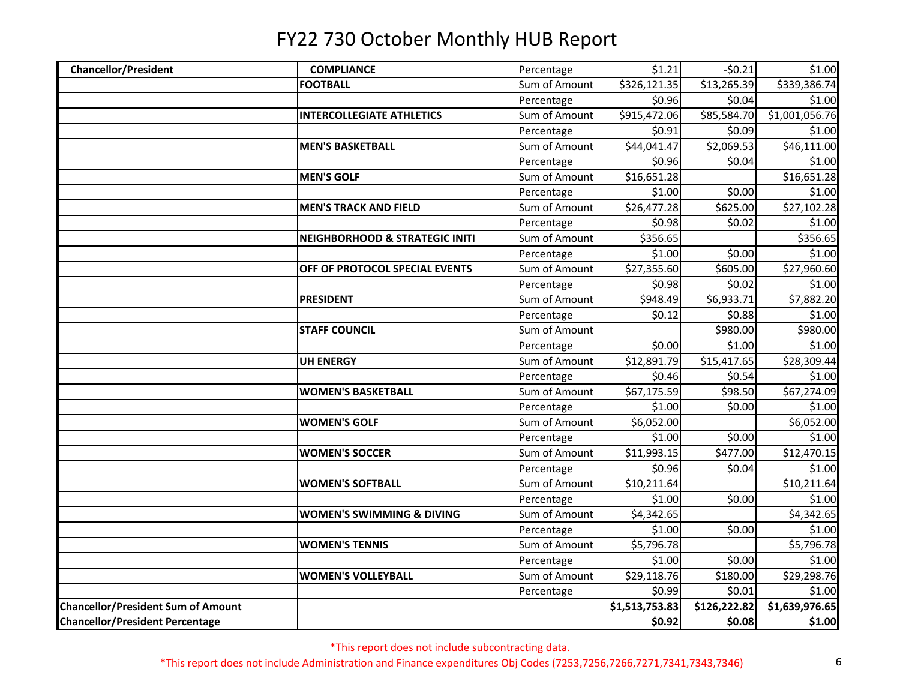| <b>Chancellor/President</b>               | <b>COMPLIANCE</b>                         | Percentage    | \$1.21         | $-50.21$     | \$1.00         |
|-------------------------------------------|-------------------------------------------|---------------|----------------|--------------|----------------|
|                                           | <b>FOOTBALL</b>                           | Sum of Amount | \$326,121.35   | \$13,265.39  | \$339,386.74   |
|                                           |                                           | Percentage    | \$0.96         | \$0.04       | \$1.00         |
|                                           | <b>INTERCOLLEGIATE ATHLETICS</b>          | Sum of Amount | \$915,472.06   | \$85,584.70  | \$1,001,056.76 |
|                                           |                                           | Percentage    | \$0.91         | \$0.09       | \$1.00         |
|                                           | <b>MEN'S BASKETBALL</b>                   | Sum of Amount | \$44,041.47    | \$2,069.53   | \$46,111.00    |
|                                           |                                           | Percentage    | \$0.96         | \$0.04       | \$1.00         |
|                                           | <b>MEN'S GOLF</b>                         | Sum of Amount | \$16,651.28    |              | \$16,651.28    |
|                                           |                                           | Percentage    | \$1.00         | \$0.00       | \$1.00         |
|                                           | <b>MEN'S TRACK AND FIELD</b>              | Sum of Amount | \$26,477.28    | \$625.00     | \$27,102.28    |
|                                           |                                           | Percentage    | \$0.98         | \$0.02       | \$1.00         |
|                                           | <b>NEIGHBORHOOD &amp; STRATEGIC INITI</b> | Sum of Amount | \$356.65       |              | \$356.65       |
|                                           |                                           | Percentage    | \$1.00         | \$0.00       | \$1.00         |
|                                           | OFF OF PROTOCOL SPECIAL EVENTS            | Sum of Amount | \$27,355.60    | \$605.00     | \$27,960.60    |
|                                           |                                           | Percentage    | \$0.98         | \$0.02       | \$1.00         |
|                                           | <b>PRESIDENT</b>                          | Sum of Amount | \$948.49       | \$6,933.71   | \$7,882.20     |
|                                           |                                           | Percentage    | \$0.12         | \$0.88       | \$1.00         |
|                                           | <b>STAFF COUNCIL</b>                      | Sum of Amount |                | \$980.00     | \$980.00       |
|                                           |                                           | Percentage    | \$0.00         | \$1.00       | \$1.00         |
|                                           | <b>UH ENERGY</b>                          | Sum of Amount | \$12,891.79    | \$15,417.65  | \$28,309.44    |
|                                           |                                           | Percentage    | \$0.46         | \$0.54       | \$1.00         |
|                                           | <b>WOMEN'S BASKETBALL</b>                 | Sum of Amount | \$67,175.59    | \$98.50      | \$67,274.09    |
|                                           |                                           | Percentage    | \$1.00         | \$0.00       | \$1.00         |
|                                           | <b>WOMEN'S GOLF</b>                       | Sum of Amount | \$6,052.00     |              | \$6,052.00     |
|                                           |                                           | Percentage    | \$1.00         | \$0.00       | \$1.00         |
|                                           | <b>WOMEN'S SOCCER</b>                     | Sum of Amount | \$11,993.15    | \$477.00     | \$12,470.15    |
|                                           |                                           | Percentage    | \$0.96         | \$0.04       | \$1.00         |
|                                           | <b>WOMEN'S SOFTBALL</b>                   | Sum of Amount | \$10,211.64    |              | \$10,211.64    |
|                                           |                                           | Percentage    | \$1.00         | \$0.00       | \$1.00         |
|                                           | <b>WOMEN'S SWIMMING &amp; DIVING</b>      | Sum of Amount | \$4,342.65     |              | \$4,342.65     |
|                                           |                                           | Percentage    | \$1.00         | \$0.00       | \$1.00         |
|                                           | <b>WOMEN'S TENNIS</b>                     | Sum of Amount | \$5,796.78     |              | \$5,796.78     |
|                                           |                                           | Percentage    | \$1.00         | \$0.00       | \$1.00         |
|                                           | <b>WOMEN'S VOLLEYBALL</b>                 | Sum of Amount | \$29,118.76    | \$180.00     | \$29,298.76    |
|                                           |                                           | Percentage    | \$0.99         | \$0.01       | \$1.00         |
| <b>Chancellor/President Sum of Amount</b> |                                           |               | \$1,513,753.83 | \$126,222.82 | \$1,639,976.65 |
| <b>Chancellor/President Percentage</b>    |                                           |               | \$0.92         | \$0.08       | \$1.00         |

\*This report does not include subcontracting data.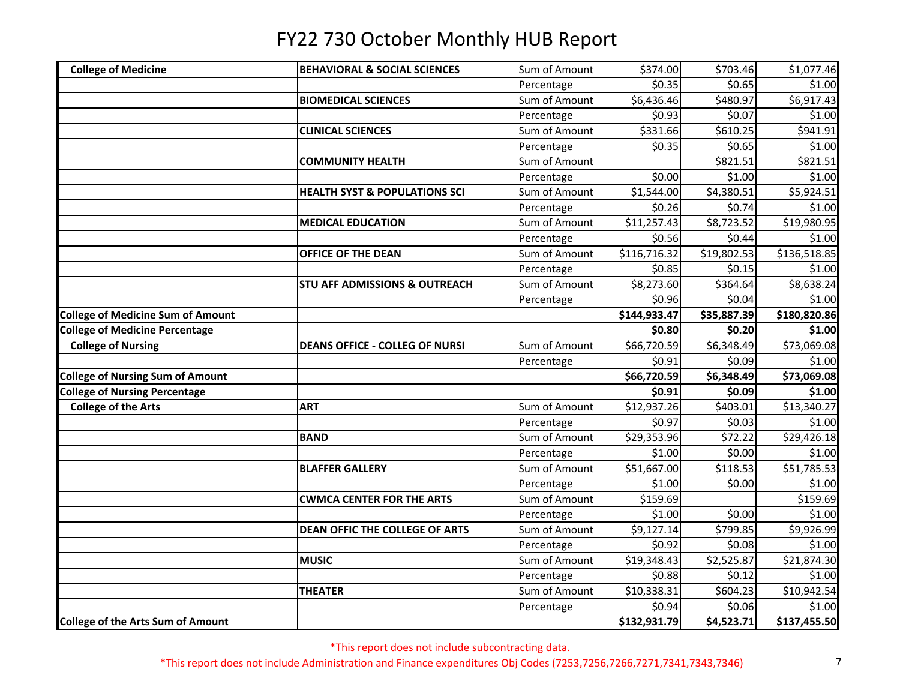| <b>College of Medicine</b>               | <b>BEHAVIORAL &amp; SOCIAL SCIENCES</b>  | Sum of Amount | \$374.00     | \$703.46    | \$1,077.46   |
|------------------------------------------|------------------------------------------|---------------|--------------|-------------|--------------|
|                                          |                                          | Percentage    | \$0.35       | \$0.65      | \$1.00       |
|                                          | <b>BIOMEDICAL SCIENCES</b>               | Sum of Amount | \$6,436.46   | \$480.97    | \$6,917.43   |
|                                          |                                          | Percentage    | \$0.93       | \$0.07      | \$1.00       |
|                                          | <b>CLINICAL SCIENCES</b>                 | Sum of Amount | \$331.66     | \$610.25    | \$941.91     |
|                                          |                                          | Percentage    | \$0.35       | \$0.65      | \$1.00       |
|                                          | <b>COMMUNITY HEALTH</b>                  | Sum of Amount |              | \$821.51    | \$821.51     |
|                                          |                                          | Percentage    | \$0.00       | \$1.00      | \$1.00       |
|                                          | <b>HEALTH SYST &amp; POPULATIONS SCI</b> | Sum of Amount | \$1,544.00   | \$4,380.51  | \$5,924.51   |
|                                          |                                          | Percentage    | \$0.26       | \$0.74      | \$1.00       |
|                                          | <b>MEDICAL EDUCATION</b>                 | Sum of Amount | \$11,257.43  | \$8,723.52  | \$19,980.95  |
|                                          |                                          | Percentage    | \$0.56       | \$0.44      | \$1.00       |
|                                          | OFFICE OF THE DEAN                       | Sum of Amount | \$116,716.32 | \$19,802.53 | \$136,518.85 |
|                                          |                                          | Percentage    | \$0.85       | \$0.15      | \$1.00       |
|                                          | <b>STU AFF ADMISSIONS &amp; OUTREACH</b> | Sum of Amount | \$8,273.60   | \$364.64    | \$8,638.24   |
|                                          |                                          | Percentage    | \$0.96       | \$0.04      | \$1.00       |
| <b>College of Medicine Sum of Amount</b> |                                          |               | \$144,933.47 | \$35,887.39 | \$180,820.86 |
| <b>College of Medicine Percentage</b>    |                                          |               | \$0.80       | \$0.20      | \$1.00       |
| <b>College of Nursing</b>                | <b>DEANS OFFICE - COLLEG OF NURSI</b>    | Sum of Amount | \$66,720.59  | \$6,348.49  | \$73,069.08  |
|                                          |                                          | Percentage    | \$0.91       | \$0.09      | \$1.00       |
| <b>College of Nursing Sum of Amount</b>  |                                          |               | \$66,720.59  | \$6,348.49  | \$73,069.08  |
| <b>College of Nursing Percentage</b>     |                                          |               | \$0.91       | \$0.09      | \$1.00       |
| <b>College of the Arts</b>               | <b>ART</b>                               | Sum of Amount | \$12,937.26  | \$403.01    | \$13,340.27  |
|                                          |                                          | Percentage    | \$0.97       | \$0.03      | \$1.00       |
|                                          | <b>BAND</b>                              | Sum of Amount | \$29,353.96  | \$72.22     | \$29,426.18  |
|                                          |                                          | Percentage    | \$1.00       | \$0.00      | \$1.00       |
|                                          | <b>BLAFFER GALLERY</b>                   | Sum of Amount | \$51,667.00  | \$118.53    | \$51,785.53  |
|                                          |                                          | Percentage    | \$1.00       | \$0.00      | \$1.00       |
|                                          | <b>CWMCA CENTER FOR THE ARTS</b>         | Sum of Amount | \$159.69     |             | \$159.69     |
|                                          |                                          | Percentage    | \$1.00       | \$0.00      | \$1.00       |
|                                          | <b>DEAN OFFIC THE COLLEGE OF ARTS</b>    | Sum of Amount | \$9,127.14   | \$799.85    | \$9,926.99   |
|                                          |                                          | Percentage    | \$0.92       | \$0.08      | \$1.00       |
|                                          | <b>MUSIC</b>                             | Sum of Amount | \$19,348.43  | \$2,525.87  | \$21,874.30  |
|                                          |                                          | Percentage    | \$0.88       | \$0.12      | \$1.00       |
|                                          | <b>THEATER</b>                           | Sum of Amount | \$10,338.31  | \$604.23    | \$10,942.54  |
|                                          |                                          | Percentage    | \$0.94       | \$0.06      | \$1.00       |
| <b>College of the Arts Sum of Amount</b> |                                          |               | \$132,931.79 | \$4,523.71  | \$137,455.50 |

\*This report does not include subcontracting data.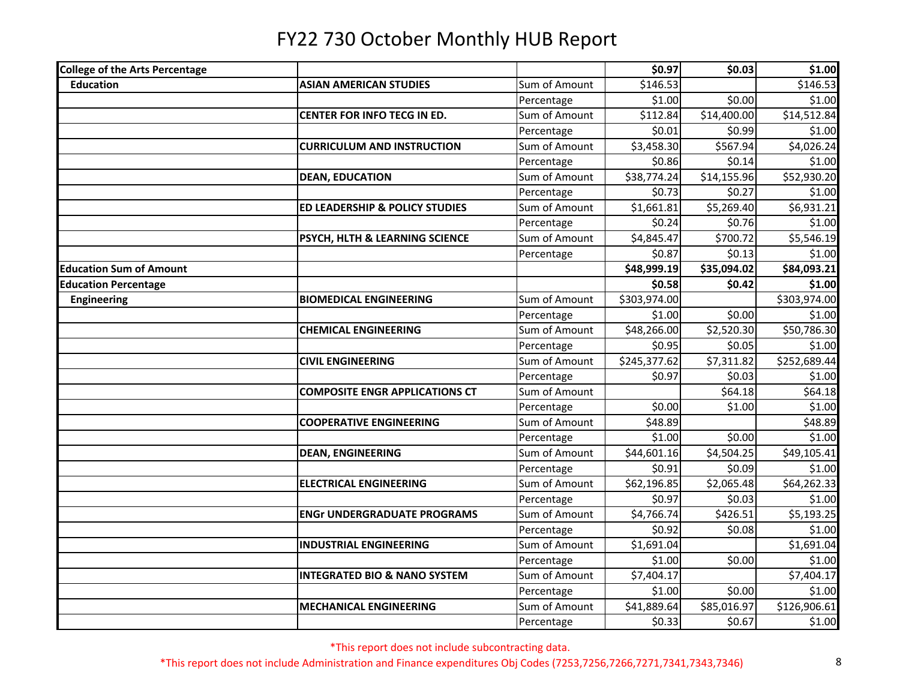| <b>College of the Arts Percentage</b> |                                         |               | \$0.97       | \$0.03      | \$1.00       |
|---------------------------------------|-----------------------------------------|---------------|--------------|-------------|--------------|
| <b>Education</b>                      | <b>ASIAN AMERICAN STUDIES</b>           | Sum of Amount | \$146.53     |             | \$146.53     |
|                                       |                                         | Percentage    | \$1.00       | \$0.00      | \$1.00       |
|                                       | CENTER FOR INFO TECG IN ED.             | Sum of Amount | \$112.84     | \$14,400.00 | \$14,512.84  |
|                                       |                                         | Percentage    | \$0.01       | \$0.99      | \$1.00       |
|                                       | <b>CURRICULUM AND INSTRUCTION</b>       | Sum of Amount | \$3,458.30   | 5567.94     | \$4,026.24   |
|                                       |                                         | Percentage    | \$0.86       | \$0.14      | \$1.00       |
|                                       | <b>DEAN, EDUCATION</b>                  | Sum of Amount | \$38,774.24  | \$14,155.96 | \$52,930.20  |
|                                       |                                         | Percentage    | \$0.73       | \$0.27      | \$1.00       |
|                                       | ED LEADERSHIP & POLICY STUDIES          | Sum of Amount | \$1,661.81   | \$5,269.40  | \$6,931.21   |
|                                       |                                         | Percentage    | \$0.24       | \$0.76      | \$1.00       |
|                                       | PSYCH, HLTH & LEARNING SCIENCE          | Sum of Amount | \$4,845.47   | \$700.72    | \$5,546.19   |
|                                       |                                         | Percentage    | \$0.87       | \$0.13      | \$1.00       |
| <b>Education Sum of Amount</b>        |                                         |               | \$48,999.19  | \$35,094.02 | \$84,093.21  |
| <b>Education Percentage</b>           |                                         |               | \$0.58       | \$0.42      | \$1.00       |
| <b>Engineering</b>                    | <b>BIOMEDICAL ENGINEERING</b>           | Sum of Amount | \$303,974.00 |             | \$303,974.00 |
|                                       |                                         | Percentage    | \$1.00       | \$0.00      | \$1.00       |
|                                       | <b>CHEMICAL ENGINEERING</b>             | Sum of Amount | \$48,266.00  | \$2,520.30  | \$50,786.30  |
|                                       |                                         | Percentage    | \$0.95       | \$0.05      | \$1.00       |
|                                       | <b>CIVIL ENGINEERING</b>                | Sum of Amount | \$245,377.62 | \$7,311.82  | \$252,689.44 |
|                                       |                                         | Percentage    | \$0.97       | \$0.03      | \$1.00       |
|                                       | <b>COMPOSITE ENGR APPLICATIONS CT</b>   | Sum of Amount |              | \$64.18     | \$64.18      |
|                                       |                                         | Percentage    | \$0.00       | \$1.00      | \$1.00       |
|                                       | <b>COOPERATIVE ENGINEERING</b>          | Sum of Amount | \$48.89      |             | \$48.89      |
|                                       |                                         | Percentage    | \$1.00       | \$0.00      | \$1.00       |
|                                       | <b>DEAN, ENGINEERING</b>                | Sum of Amount | \$44,601.16  | \$4,504.25  | \$49,105.41  |
|                                       |                                         | Percentage    | \$0.91       | \$0.09      | \$1.00       |
|                                       | <b>ELECTRICAL ENGINEERING</b>           | Sum of Amount | \$62,196.85  | \$2,065.48  | \$64,262.33  |
|                                       |                                         | Percentage    | \$0.97       | \$0.03      | \$1.00       |
|                                       | <b>ENGr UNDERGRADUATE PROGRAMS</b>      | Sum of Amount | \$4,766.74   | \$426.51    | \$5,193.25   |
|                                       |                                         | Percentage    | \$0.92       | \$0.08      | \$1.00       |
|                                       | <b>INDUSTRIAL ENGINEERING</b>           | Sum of Amount | \$1,691.04   |             | \$1,691.04   |
|                                       |                                         | Percentage    | \$1.00       | \$0.00      | \$1.00       |
|                                       | <b>INTEGRATED BIO &amp; NANO SYSTEM</b> | Sum of Amount | \$7,404.17   |             | \$7,404.17   |
|                                       |                                         | Percentage    | \$1.00       | \$0.00      | \$1.00       |
|                                       | <b>MECHANICAL ENGINEERING</b>           | Sum of Amount | \$41,889.64  | \$85,016.97 | \$126,906.61 |
|                                       |                                         | Percentage    | \$0.33       | \$0.67      | \$1.00       |

\*This report does not include subcontracting data.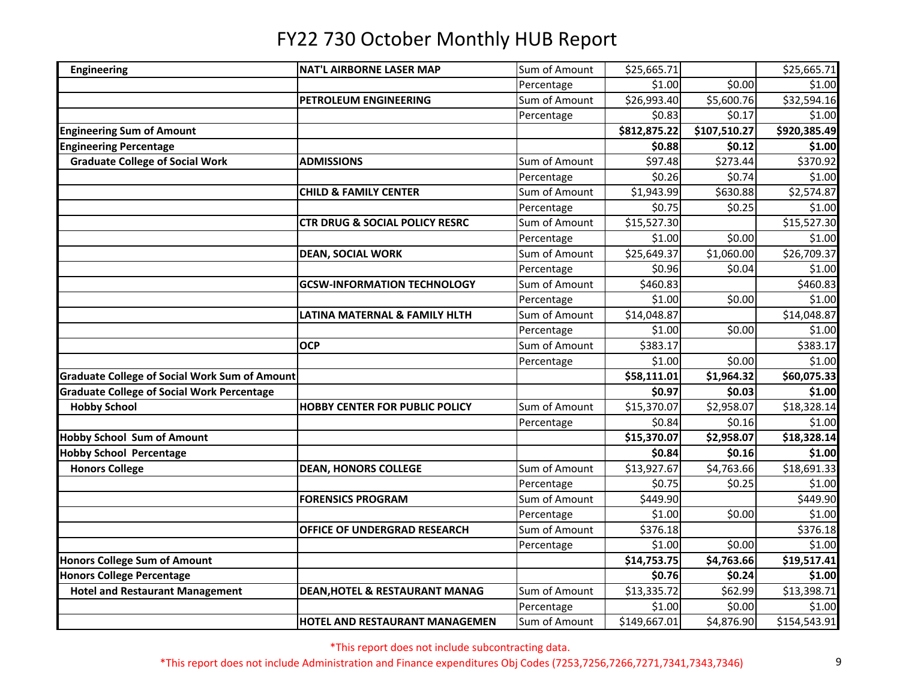| <b>Engineering</b>                                   | <b>NAT'L AIRBORNE LASER MAP</b>           | Sum of Amount | \$25,665.71  |              | \$25,665.71  |
|------------------------------------------------------|-------------------------------------------|---------------|--------------|--------------|--------------|
|                                                      |                                           | Percentage    | \$1.00       | \$0.00       | \$1.00       |
|                                                      | PETROLEUM ENGINEERING                     | Sum of Amount | \$26,993.40  | \$5,600.76   | \$32,594.16  |
|                                                      |                                           | Percentage    | \$0.83       | \$0.17       | \$1.00       |
| <b>Engineering Sum of Amount</b>                     |                                           |               | \$812,875.22 | \$107,510.27 | \$920,385.49 |
| <b>Engineering Percentage</b>                        |                                           |               | \$0.88       | \$0.12       | \$1.00       |
| <b>Graduate College of Social Work</b>               | <b>ADMISSIONS</b>                         | Sum of Amount | \$97.48      | \$273.44     | \$370.92     |
|                                                      |                                           | Percentage    | \$0.26       | \$0.74       | \$1.00       |
|                                                      | <b>CHILD &amp; FAMILY CENTER</b>          | Sum of Amount | \$1,943.99   | \$630.88     | \$2,574.87   |
|                                                      |                                           | Percentage    | \$0.75       | \$0.25       | \$1.00       |
|                                                      | <b>CTR DRUG &amp; SOCIAL POLICY RESRC</b> | Sum of Amount | \$15,527.30  |              | \$15,527.30  |
|                                                      |                                           | Percentage    | \$1.00       | \$0.00       | \$1.00       |
|                                                      | <b>DEAN, SOCIAL WORK</b>                  | Sum of Amount | \$25,649.37  | \$1,060.00   | \$26,709.37  |
|                                                      |                                           | Percentage    | \$0.96       | \$0.04       | \$1.00       |
|                                                      | <b>GCSW-INFORMATION TECHNOLOGY</b>        | Sum of Amount | \$460.83     |              | \$460.83     |
|                                                      |                                           | Percentage    | \$1.00       | \$0.00       | \$1.00       |
|                                                      | LATINA MATERNAL & FAMILY HLTH             | Sum of Amount | \$14,048.87  |              | \$14,048.87  |
|                                                      |                                           | Percentage    | \$1.00       | \$0.00       | \$1.00       |
|                                                      | <b>OCP</b>                                | Sum of Amount | \$383.17     |              | \$383.17     |
|                                                      |                                           | Percentage    | \$1.00       | \$0.00       | \$1.00       |
| <b>Graduate College of Social Work Sum of Amount</b> |                                           |               | \$58,111.01  | \$1,964.32   | \$60,075.33  |
| <b>Graduate College of Social Work Percentage</b>    |                                           |               | \$0.97       | \$0.03       | \$1.00       |
| <b>Hobby School</b>                                  | <b>HOBBY CENTER FOR PUBLIC POLICY</b>     | Sum of Amount | \$15,370.07  | \$2,958.07   | \$18,328.14  |
|                                                      |                                           | Percentage    | \$0.84       | \$0.16       | \$1.00       |
| <b>Hobby School Sum of Amount</b>                    |                                           |               | \$15,370.07  | \$2,958.07   | \$18,328.14  |
| <b>Hobby School Percentage</b>                       |                                           |               | \$0.84       | \$0.16       | \$1.00       |
| <b>Honors College</b>                                | <b>DEAN, HONORS COLLEGE</b>               | Sum of Amount | \$13,927.67  | \$4,763.66   | \$18,691.33  |
|                                                      |                                           | Percentage    | \$0.75       | \$0.25       | \$1.00       |
|                                                      | <b>FORENSICS PROGRAM</b>                  | Sum of Amount | \$449.90     |              | \$449.90     |
|                                                      |                                           | Percentage    | \$1.00       | \$0.00       | \$1.00       |
|                                                      | <b>OFFICE OF UNDERGRAD RESEARCH</b>       | Sum of Amount | \$376.18     |              | \$376.18     |
|                                                      |                                           | Percentage    | \$1.00       | \$0.00       | \$1.00       |
| <b>Honors College Sum of Amount</b>                  |                                           |               | \$14,753.75  | \$4,763.66   | \$19,517.41  |
| <b>Honors College Percentage</b>                     |                                           |               | \$0.76       | \$0.24       | \$1.00       |
| <b>Hotel and Restaurant Management</b>               | <b>DEAN, HOTEL &amp; RESTAURANT MANAG</b> | Sum of Amount | \$13,335.72  | \$62.99      | \$13,398.71  |
|                                                      |                                           | Percentage    | \$1.00       | \$0.00       | \$1.00       |
|                                                      | <b>HOTEL AND RESTAURANT MANAGEMEN</b>     | Sum of Amount | \$149,667.01 | \$4,876.90   | \$154,543.91 |
|                                                      |                                           |               |              |              |              |

\*This report does not include subcontracting data.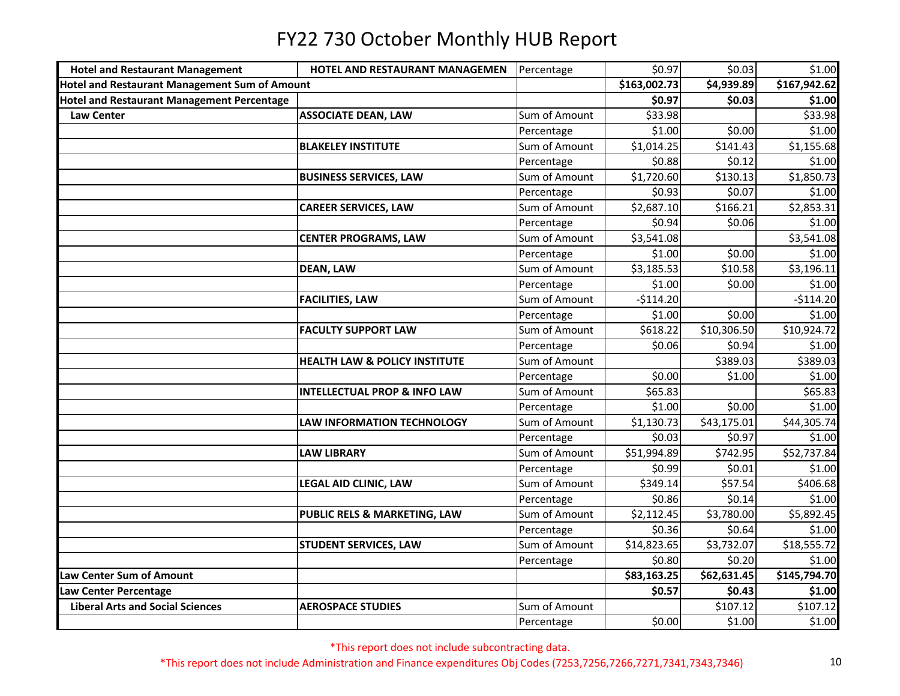| <b>Hotel and Restaurant Management</b>            | HOTEL AND RESTAURANT MANAGEMEN           | Percentage    | \$0.97       | \$0.03               | \$1.00       |
|---------------------------------------------------|------------------------------------------|---------------|--------------|----------------------|--------------|
| Hotel and Restaurant Management Sum of Amount     |                                          |               | \$163,002.73 | \$4,939.89           | \$167,942.62 |
| <b>Hotel and Restaurant Management Percentage</b> |                                          |               | \$0.97       | \$0.03               | \$1.00       |
| <b>Law Center</b>                                 | <b>ASSOCIATE DEAN, LAW</b>               | Sum of Amount | \$33.98      |                      | \$33.98      |
|                                                   |                                          | Percentage    | \$1.00       | \$0.00               | \$1.00       |
|                                                   | <b>BLAKELEY INSTITUTE</b>                | Sum of Amount | \$1,014.25   | $\overline{$}141.43$ | \$1,155.68   |
|                                                   |                                          | Percentage    | \$0.88       | \$0.12               | \$1.00       |
|                                                   | <b>BUSINESS SERVICES, LAW</b>            | Sum of Amount | \$1,720.60   | \$130.13             | \$1,850.73   |
|                                                   |                                          | Percentage    | \$0.93       | \$0.07               | \$1.00       |
|                                                   | <b>CAREER SERVICES, LAW</b>              | Sum of Amount | \$2,687.10   | \$166.21             | \$2,853.31   |
|                                                   |                                          | Percentage    | \$0.94       | \$0.06               | \$1.00       |
|                                                   | <b>CENTER PROGRAMS, LAW</b>              | Sum of Amount | \$3,541.08   |                      | \$3,541.08   |
|                                                   |                                          | Percentage    | \$1.00       | \$0.00               | \$1.00       |
|                                                   | <b>DEAN, LAW</b>                         | Sum of Amount | \$3,185.53   | \$10.58              | \$3,196.11   |
|                                                   |                                          | Percentage    | \$1.00       | \$0.00               | \$1.00       |
|                                                   | <b>FACILITIES, LAW</b>                   | Sum of Amount | $-$114.20$   |                      | $-$114.20$   |
|                                                   |                                          | Percentage    | \$1.00       | \$0.00               | \$1.00       |
|                                                   | <b>FACULTY SUPPORT LAW</b>               | Sum of Amount | \$618.22     | \$10,306.50          | \$10,924.72  |
|                                                   |                                          | Percentage    | \$0.06       | \$0.94               | \$1.00       |
|                                                   | <b>HEALTH LAW &amp; POLICY INSTITUTE</b> | Sum of Amount |              | \$389.03             | \$389.03     |
|                                                   |                                          | Percentage    | \$0.00       | \$1.00               | \$1.00       |
|                                                   | <b>INTELLECTUAL PROP &amp; INFO LAW</b>  | Sum of Amount | \$65.83      |                      | \$65.83      |
|                                                   |                                          | Percentage    | \$1.00       | \$0.00               | \$1.00       |
|                                                   | LAW INFORMATION TECHNOLOGY               | Sum of Amount | \$1,130.73   | \$43,175.01          | \$44,305.74  |
|                                                   |                                          | Percentage    | \$0.03       | \$0.97               | \$1.00       |
|                                                   | <b>LAW LIBRARY</b>                       | Sum of Amount | \$51,994.89  | \$742.95             | \$52,737.84  |
|                                                   |                                          | Percentage    | \$0.99       | \$0.01               | \$1.00       |
|                                                   | LEGAL AID CLINIC, LAW                    | Sum of Amount | \$349.14     | \$57.54              | \$406.68     |
|                                                   |                                          | Percentage    | \$0.86       | \$0.14               | \$1.00       |
|                                                   | PUBLIC RELS & MARKETING, LAW             | Sum of Amount | \$2,112.45   | \$3,780.00           | \$5,892.45   |
|                                                   |                                          | Percentage    | \$0.36       | \$0.64               | \$1.00       |
|                                                   | <b>STUDENT SERVICES, LAW</b>             | Sum of Amount | \$14,823.65  | \$3,732.07           | \$18,555.72  |
|                                                   |                                          | Percentage    | \$0.80       | \$0.20               | \$1.00       |
| Law Center Sum of Amount                          |                                          |               | \$83,163.25  | \$62,631.45          | \$145,794.70 |
| Law Center Percentage                             |                                          |               | \$0.57       | \$0.43               | \$1.00       |
| <b>Liberal Arts and Social Sciences</b>           | <b>AEROSPACE STUDIES</b>                 | Sum of Amount |              | \$107.12             | \$107.12     |
|                                                   |                                          | Percentage    | \$0.00       | \$1.00               | \$1.00       |

\*This report does not include subcontracting data.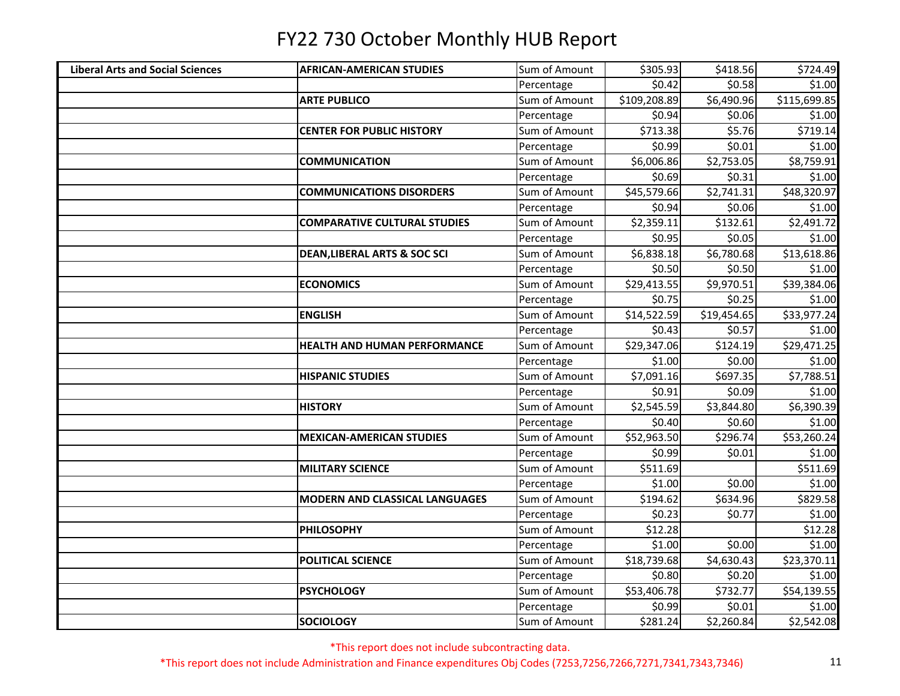| <b>Liberal Arts and Social Sciences</b> | <b>AFRICAN-AMERICAN STUDIES</b>         | Sum of Amount | \$305.93     | \$418.56    | \$724.49     |
|-----------------------------------------|-----------------------------------------|---------------|--------------|-------------|--------------|
|                                         |                                         | Percentage    | \$0.42       | \$0.58      | \$1.00       |
|                                         | <b>ARTE PUBLICO</b>                     | Sum of Amount | \$109,208.89 | \$6,490.96  | \$115,699.85 |
|                                         |                                         | Percentage    | \$0.94       | \$0.06      | \$1.00       |
|                                         | <b>CENTER FOR PUBLIC HISTORY</b>        | Sum of Amount | \$713.38     | \$5.76      | \$719.14     |
|                                         |                                         | Percentage    | \$0.99       | \$0.01      | \$1.00       |
|                                         | <b>COMMUNICATION</b>                    | Sum of Amount | \$6,006.86   | \$2,753.05  | \$8,759.91   |
|                                         |                                         | Percentage    | \$0.69       | \$0.31      | \$1.00       |
|                                         | <b>COMMUNICATIONS DISORDERS</b>         | Sum of Amount | \$45,579.66  | \$2,741.31  | \$48,320.97  |
|                                         |                                         | Percentage    | \$0.94       | \$0.06      | \$1.00       |
|                                         | <b>COMPARATIVE CULTURAL STUDIES</b>     | Sum of Amount | \$2,359.11   | \$132.61    | \$2,491.72   |
|                                         |                                         | Percentage    | \$0.95       | \$0.05      | \$1.00       |
|                                         | <b>DEAN, LIBERAL ARTS &amp; SOC SCI</b> | Sum of Amount | \$6,838.18   | \$6,780.68  | \$13,618.86  |
|                                         |                                         | Percentage    | \$0.50       | \$0.50      | \$1.00       |
|                                         | <b>ECONOMICS</b>                        | Sum of Amount | \$29,413.55  | \$9,970.51  | \$39,384.06  |
|                                         |                                         | Percentage    | \$0.75       | \$0.25      | \$1.00       |
|                                         | <b>ENGLISH</b>                          | Sum of Amount | \$14,522.59  | \$19,454.65 | \$33,977.24  |
|                                         |                                         | Percentage    | \$0.43       | \$0.57      | \$1.00       |
|                                         | <b>HEALTH AND HUMAN PERFORMANCE</b>     | Sum of Amount | \$29,347.06  | \$124.19    | \$29,471.25  |
|                                         |                                         | Percentage    | \$1.00       | \$0.00      | \$1.00       |
|                                         | <b>HISPANIC STUDIES</b>                 | Sum of Amount | \$7,091.16   | \$697.35    | \$7,788.51   |
|                                         |                                         | Percentage    | \$0.91       | \$0.09      | \$1.00       |
|                                         | <b>HISTORY</b>                          | Sum of Amount | \$2,545.59   | \$3,844.80  | \$6,390.39   |
|                                         |                                         | Percentage    | \$0.40       | \$0.60      | \$1.00       |
|                                         | <b>MEXICAN-AMERICAN STUDIES</b>         | Sum of Amount | \$52,963.50  | \$296.74    | \$53,260.24  |
|                                         |                                         | Percentage    | \$0.99       | \$0.01      | \$1.00       |
|                                         | <b>MILITARY SCIENCE</b>                 | Sum of Amount | \$511.69     |             | \$511.69     |
|                                         |                                         | Percentage    | \$1.00       | \$0.00      | \$1.00       |
|                                         | <b>MODERN AND CLASSICAL LANGUAGES</b>   | Sum of Amount | \$194.62     | \$634.96    | \$829.58     |
|                                         |                                         | Percentage    | \$0.23       | \$0.77      | \$1.00       |
|                                         | <b>PHILOSOPHY</b>                       | Sum of Amount | \$12.28      |             | \$12.28      |
|                                         |                                         | Percentage    | \$1.00       | \$0.00      | \$1.00       |
|                                         | <b>POLITICAL SCIENCE</b>                | Sum of Amount | \$18,739.68  | \$4,630.43  | \$23,370.11  |
|                                         |                                         | Percentage    | \$0.80       | \$0.20      | \$1.00       |
|                                         | <b>PSYCHOLOGY</b>                       | Sum of Amount | \$53,406.78  | \$732.77    | \$54,139.55  |
|                                         |                                         | Percentage    | \$0.99       | \$0.01      | \$1.00       |
|                                         | <b>SOCIOLOGY</b>                        | Sum of Amount | \$281.24     | \$2,260.84  | \$2,542.08   |

\*This report does not include subcontracting data.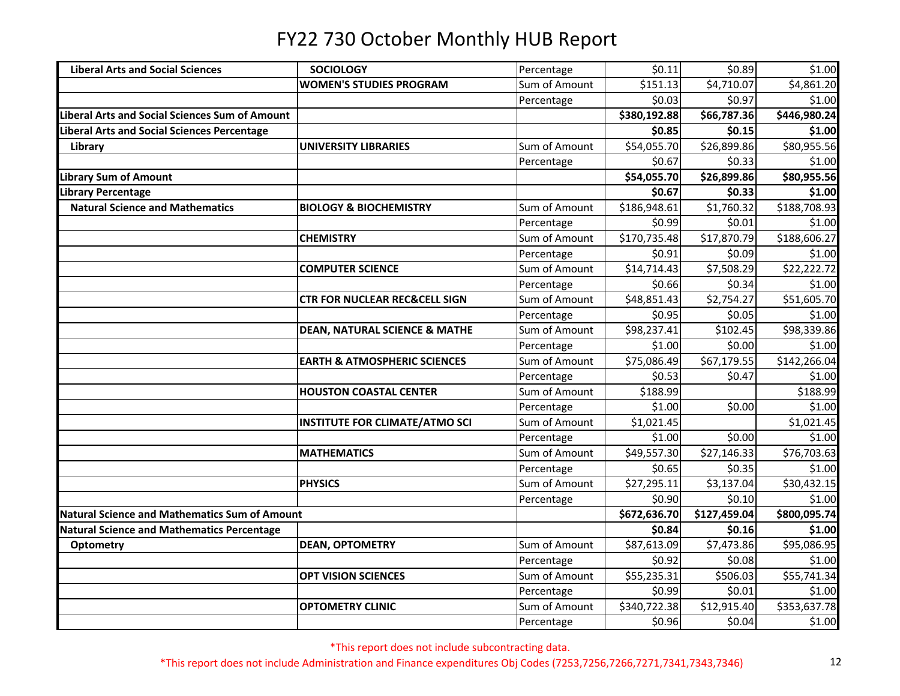| <b>Liberal Arts and Social Sciences</b>               | <b>SOCIOLOGY</b>                         | Percentage    | \$0.11       | \$0.89       | \$1.00       |
|-------------------------------------------------------|------------------------------------------|---------------|--------------|--------------|--------------|
|                                                       | <b>WOMEN'S STUDIES PROGRAM</b>           | Sum of Amount | \$151.13     | \$4,710.07   | \$4,861.20   |
|                                                       |                                          | Percentage    | \$0.03       | \$0.97       | \$1.00       |
| <b>Liberal Arts and Social Sciences Sum of Amount</b> |                                          |               | \$380,192.88 | \$66,787.36  | \$446,980.24 |
| iberal Arts and Social Sciences Percentage            |                                          |               | \$0.85       | \$0.15       | \$1.00       |
| Library                                               | <b>UNIVERSITY LIBRARIES</b>              | Sum of Amount | \$54,055.70  | \$26,899.86  | \$80,955.56  |
|                                                       |                                          | Percentage    | \$0.67       | \$0.33       | \$1.00       |
| <b>Library Sum of Amount</b>                          |                                          |               | \$54,055.70  | \$26,899.86  | \$80,955.56  |
| Library Percentage                                    |                                          |               | \$0.67       | \$0.33       | \$1.00       |
| <b>Natural Science and Mathematics</b>                | <b>BIOLOGY &amp; BIOCHEMISTRY</b>        | Sum of Amount | \$186,948.61 | \$1,760.32   | \$188,708.93 |
|                                                       |                                          | Percentage    | \$0.99       | \$0.01       | \$1.00       |
|                                                       | <b>CHEMISTRY</b>                         | Sum of Amount | \$170,735.48 | \$17,870.79  | \$188,606.27 |
|                                                       |                                          | Percentage    | \$0.91       | \$0.09       | \$1.00       |
|                                                       | <b>COMPUTER SCIENCE</b>                  | Sum of Amount | \$14,714.43  | \$7,508.29   | \$22,222.72  |
|                                                       |                                          | Percentage    | \$0.66       | \$0.34       | \$1.00       |
|                                                       | <b>CTR FOR NUCLEAR REC&amp;CELL SIGN</b> | Sum of Amount | \$48,851.43  | \$2,754.27   | \$51,605.70  |
|                                                       |                                          | Percentage    | \$0.95       | \$0.05       | \$1.00       |
|                                                       | <b>DEAN, NATURAL SCIENCE &amp; MATHE</b> | Sum of Amount | \$98,237.41  | \$102.45     | \$98,339.86  |
|                                                       |                                          | Percentage    | \$1.00       | \$0.00       | \$1.00       |
|                                                       | <b>EARTH &amp; ATMOSPHERIC SCIENCES</b>  | Sum of Amount | \$75,086.49  | \$67,179.55  | \$142,266.04 |
|                                                       |                                          | Percentage    | \$0.53       | \$0.47       | \$1.00       |
|                                                       | <b>HOUSTON COASTAL CENTER</b>            | Sum of Amount | \$188.99     |              | \$188.99     |
|                                                       |                                          | Percentage    | \$1.00       | \$0.00       | \$1.00       |
|                                                       | <b>INSTITUTE FOR CLIMATE/ATMO SCI</b>    | Sum of Amount | \$1,021.45   |              | \$1,021.45   |
|                                                       |                                          | Percentage    | \$1.00       | \$0.00       | \$1.00       |
|                                                       | <b>MATHEMATICS</b>                       | Sum of Amount | \$49,557.30  | \$27,146.33  | \$76,703.63  |
|                                                       |                                          | Percentage    | \$0.65       | \$0.35       | \$1.00       |
|                                                       | <b>PHYSICS</b>                           | Sum of Amount | \$27,295.11  | \$3,137.04   | \$30,432.15  |
|                                                       |                                          | Percentage    | \$0.90       | \$0.10       | \$1.00       |
| <b>Natural Science and Mathematics Sum of Amount</b>  |                                          |               | \$672,636.70 | \$127,459.04 | \$800,095.74 |
| <b>Natural Science and Mathematics Percentage</b>     |                                          |               | \$0.84       | \$0.16       | \$1.00       |
| <b>Optometry</b>                                      | <b>DEAN, OPTOMETRY</b>                   | Sum of Amount | \$87,613.09  | \$7,473.86   | \$95,086.95  |
|                                                       |                                          | Percentage    | \$0.92       | \$0.08       | \$1.00       |
|                                                       | <b>OPT VISION SCIENCES</b>               | Sum of Amount | \$55,235.31  | \$506.03     | 555,741.34   |
|                                                       |                                          | Percentage    | \$0.99       | \$0.01       | \$1.00       |
|                                                       | <b>OPTOMETRY CLINIC</b>                  | Sum of Amount | \$340,722.38 | \$12,915.40  | \$353,637.78 |
|                                                       |                                          | Percentage    | \$0.96       | \$0.04       | \$1.00       |

\*This report does not include subcontracting data.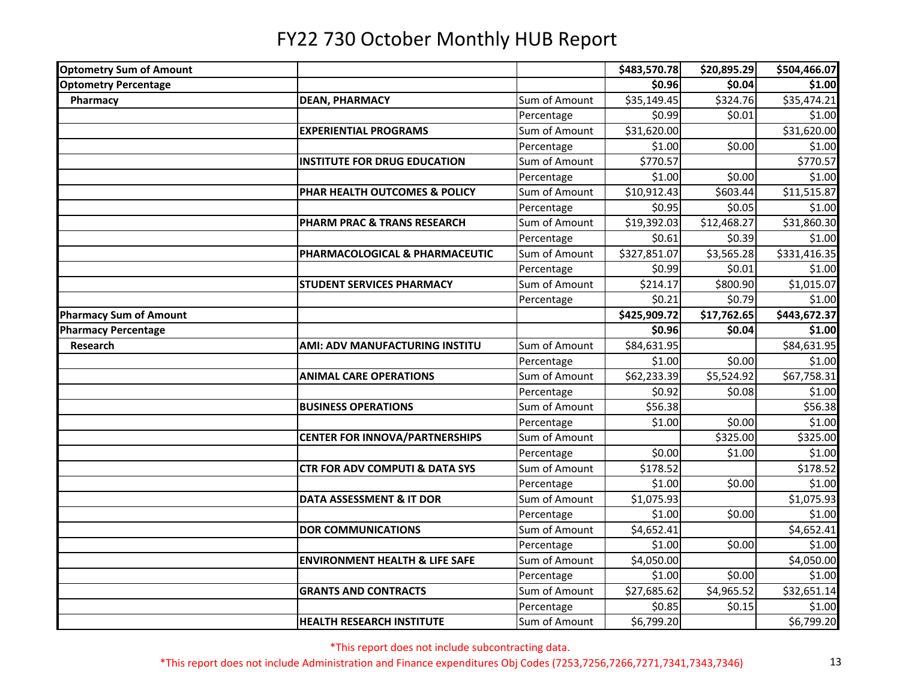| <b>Optometry Sum of Amount</b> |                                           |               | \$483,570.78 | \$20,895.29 | \$504,466.07 |
|--------------------------------|-------------------------------------------|---------------|--------------|-------------|--------------|
| <b>Optometry Percentage</b>    |                                           |               | \$0.96       | \$0.04      | \$1.00       |
| Pharmacy                       | <b>DEAN, PHARMACY</b>                     | Sum of Amount | \$35,149.45  | \$324.76    | \$35,474.21  |
|                                |                                           | Percentage    | \$0.99       | \$0.01      | \$1.00       |
|                                | <b>EXPERIENTIAL PROGRAMS</b>              | Sum of Amount | \$31,620.00  |             | \$31,620.00  |
|                                |                                           | Percentage    | \$1.00       | \$0.00      | \$1.00       |
|                                | <b>INSTITUTE FOR DRUG EDUCATION</b>       | Sum of Amount | \$770.57     |             | \$770.57     |
|                                |                                           | Percentage    | \$1.00       | \$0.00      | \$1.00       |
|                                | PHAR HEALTH OUTCOMES & POLICY             | Sum of Amount | \$10,912.43  | \$603.44    | \$11,515.87  |
|                                |                                           | Percentage    | \$0.95       | \$0.05      | \$1.00       |
|                                | PHARM PRAC & TRANS RESEARCH               | Sum of Amount | \$19,392.03  | \$12,468.27 | \$31,860.30  |
|                                |                                           | Percentage    | \$0.61       | \$0.39      | \$1.00       |
|                                | PHARMACOLOGICAL & PHARMACEUTIC            | Sum of Amount | \$327,851.07 | \$3,565.28  | \$331,416.35 |
|                                |                                           | Percentage    | \$0.99       | \$0.01      | \$1.00       |
|                                | <b>STUDENT SERVICES PHARMACY</b>          | Sum of Amount | \$214.17     | \$800.90    | \$1,015.07   |
|                                |                                           | Percentage    | \$0.21       | \$0.79      | \$1.00       |
| <b>Pharmacy Sum of Amount</b>  |                                           |               | \$425,909.72 | \$17,762.65 | \$443,672.37 |
| <b>Pharmacy Percentage</b>     |                                           |               | \$0.96       | \$0.04      | \$1.00       |
| Research                       | <b>AMI: ADV MANUFACTURING INSTITU</b>     | Sum of Amount | \$84,631.95  |             | \$84,631.95  |
|                                |                                           | Percentage    | \$1.00       | \$0.00      | \$1.00       |
|                                | <b>ANIMAL CARE OPERATIONS</b>             | Sum of Amount | \$62,233.39  | \$5,524.92  | \$67,758.31  |
|                                |                                           | Percentage    | \$0.92       | \$0.08      | \$1.00       |
|                                | <b>BUSINESS OPERATIONS</b>                | Sum of Amount | \$56.38      |             | \$56.38      |
|                                |                                           | Percentage    | \$1.00       | \$0.00      | \$1.00       |
|                                | <b>CENTER FOR INNOVA/PARTNERSHIPS</b>     | Sum of Amount |              | \$325.00    | \$325.00     |
|                                |                                           | Percentage    | \$0.00       | \$1.00      | \$1.00       |
|                                | <b>CTR FOR ADV COMPUTI &amp; DATA SYS</b> | Sum of Amount | \$178.52     |             | \$178.52     |
|                                |                                           | Percentage    | \$1.00       | \$0.00      | \$1.00       |
|                                | <b>DATA ASSESSMENT &amp; IT DOR</b>       | Sum of Amount | \$1,075.93   |             | \$1,075.93   |
|                                |                                           | Percentage    | \$1.00       | \$0.00      | \$1.00       |
|                                | <b>DOR COMMUNICATIONS</b>                 | Sum of Amount | \$4,652.41   |             | \$4,652.41   |
|                                |                                           | Percentage    | \$1.00       | \$0.00      | \$1.00       |
|                                | <b>ENVIRONMENT HEALTH &amp; LIFE SAFE</b> | Sum of Amount | \$4,050.00   |             | \$4,050.00   |
|                                |                                           | Percentage    | \$1.00       | \$0.00      | \$1.00       |
|                                | <b>GRANTS AND CONTRACTS</b>               | Sum of Amount | \$27,685.62  | \$4,965.52  | \$32,651.14  |
|                                |                                           | Percentage    | \$0.85       | \$0.15      | \$1.00       |
|                                | <b>HEALTH RESEARCH INSTITUTE</b>          | Sum of Amount | \$6,799.20   |             | \$6,799.20   |

\*This report does not include subcontracting data.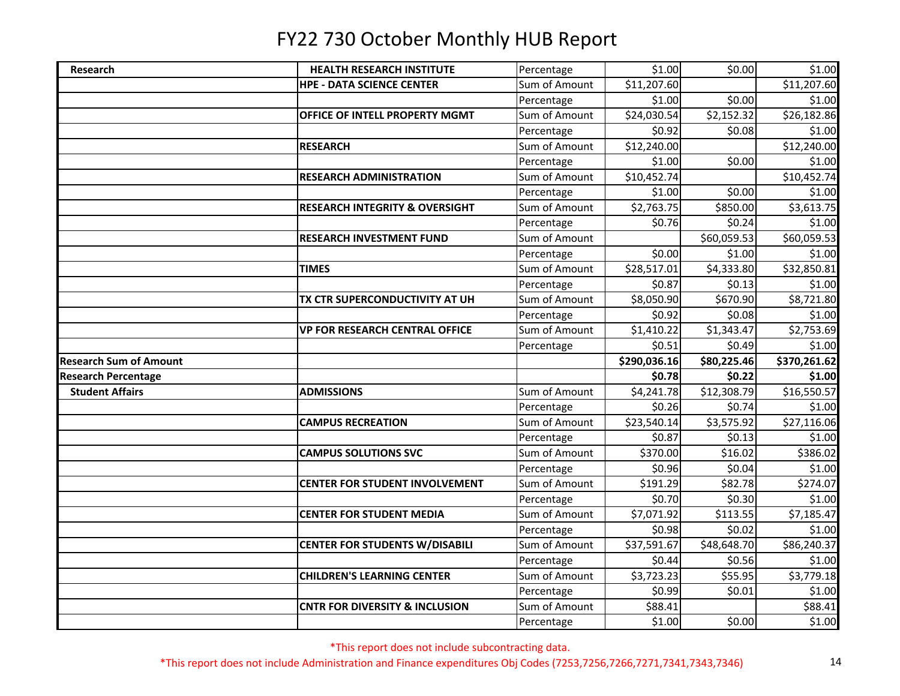| Research                      | <b>HEALTH RESEARCH INSTITUTE</b>          | Percentage                  | \$1.00            | \$0.00      | \$1.00            |
|-------------------------------|-------------------------------------------|-----------------------------|-------------------|-------------|-------------------|
|                               | <b>HPE - DATA SCIENCE CENTER</b>          | Sum of Amount               | \$11,207.60       |             | \$11,207.60       |
|                               |                                           | Percentage                  | \$1.00            | \$0.00      | \$1.00            |
|                               | OFFICE OF INTELL PROPERTY MGMT            | Sum of Amount               | \$24,030.54       | \$2,152.32  | \$26,182.86       |
|                               |                                           | Percentage                  | \$0.92            | \$0.08      | \$1.00            |
|                               | <b>RESEARCH</b>                           | Sum of Amount               | \$12,240.00       |             | \$12,240.00       |
|                               |                                           | Percentage                  | \$1.00            | \$0.00      | \$1.00            |
|                               | <b>RESEARCH ADMINISTRATION</b>            | Sum of Amount               | \$10,452.74       |             | \$10,452.74       |
|                               |                                           | Percentage                  | \$1.00            | \$0.00      | \$1.00            |
|                               | <b>RESEARCH INTEGRITY &amp; OVERSIGHT</b> | Sum of Amount               | \$2,763.75        | \$850.00    | \$3,613.75        |
|                               |                                           | Percentage                  | \$0.76            | \$0.24      | \$1.00            |
|                               | <b>RESEARCH INVESTMENT FUND</b>           | Sum of Amount               |                   | \$60,059.53 | \$60,059.53       |
|                               |                                           | Percentage                  | \$0.00            | \$1.00      | \$1.00            |
|                               | <b>TIMES</b>                              | Sum of Amount               | \$28,517.01       | \$4,333.80  | \$32,850.81       |
|                               |                                           | Percentage                  | \$0.87            | \$0.13      | \$1.00            |
|                               | TX CTR SUPERCONDUCTIVITY AT UH            | Sum of Amount               | \$8,050.90        | \$670.90    | \$8,721.80        |
|                               |                                           | Percentage                  | \$0.92            | \$0.08      | \$1.00            |
|                               | <b>VP FOR RESEARCH CENTRAL OFFICE</b>     | Sum of Amount               | \$1,410.22        | \$1,343.47  | \$2,753.69        |
|                               |                                           | Percentage                  | \$0.51            | \$0.49      | \$1.00            |
|                               |                                           |                             |                   |             |                   |
| <b>Research Sum of Amount</b> |                                           |                             | \$290,036.16      | \$80,225.46 | \$370,261.62      |
| <b>Research Percentage</b>    |                                           |                             | \$0.78            | \$0.22      | \$1.00            |
| <b>Student Affairs</b>        | <b>ADMISSIONS</b>                         | Sum of Amount               | \$4,241.78        | \$12,308.79 | \$16,550.57       |
|                               |                                           | Percentage                  | \$0.26            | \$0.74      | \$1.00            |
|                               | <b>CAMPUS RECREATION</b>                  | Sum of Amount               | \$23,540.14       | \$3,575.92  | \$27,116.06       |
|                               |                                           | Percentage                  | \$0.87            | \$0.13      | \$1.00            |
|                               | <b>CAMPUS SOLUTIONS SVC</b>               | Sum of Amount               | \$370.00          | \$16.02     | \$386.02          |
|                               |                                           | Percentage                  | \$0.96            | \$0.04      | \$1.00            |
|                               | <b>CENTER FOR STUDENT INVOLVEMENT</b>     | Sum of Amount               | \$191.29          | \$82.78     | \$274.07          |
|                               |                                           | Percentage                  | \$0.70            | \$0.30      | \$1.00            |
|                               | <b>CENTER FOR STUDENT MEDIA</b>           | Sum of Amount               | \$7,071.92        | \$113.55    | \$7,185.47        |
|                               |                                           | Percentage                  | \$0.98            | \$0.02      | \$1.00            |
|                               | <b>CENTER FOR STUDENTS W/DISABILI</b>     | Sum of Amount               | \$37,591.67       | \$48,648.70 | \$86,240.37       |
|                               |                                           | Percentage                  | \$0.44            | \$0.56      | \$1.00            |
|                               | <b>CHILDREN'S LEARNING CENTER</b>         | Sum of Amount               | \$3,723.23        | \$55.95     | \$3,779.18        |
|                               |                                           | Percentage                  | \$0.99            | \$0.01      | \$1.00            |
|                               | <b>CNTR FOR DIVERSITY &amp; INCLUSION</b> | Sum of Amount<br>Percentage | \$88.41<br>\$1.00 | \$0.00      | \$88.41<br>\$1.00 |

\*This report does not include subcontracting data.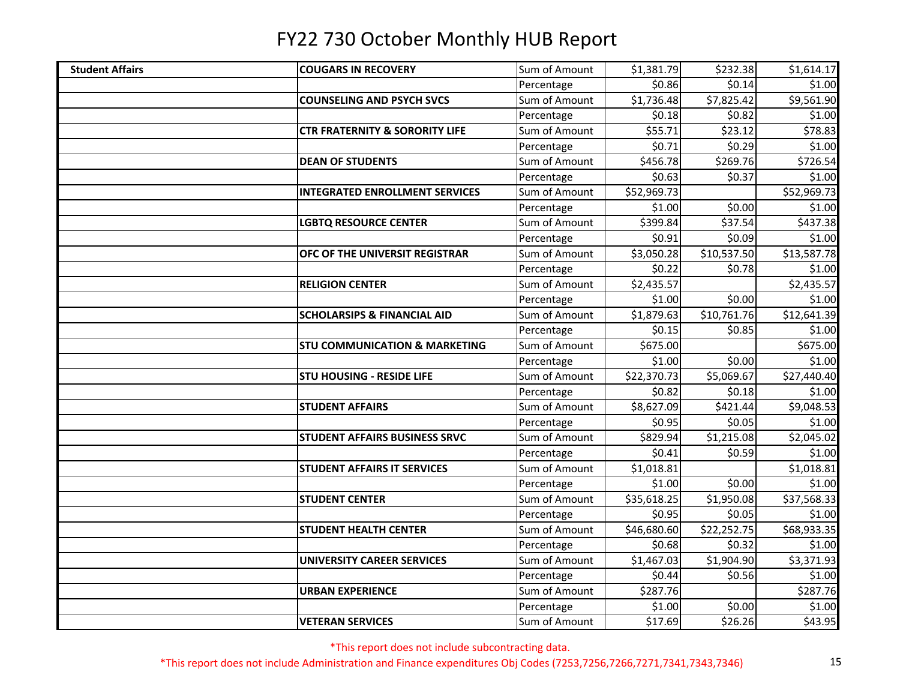| <b>Student Affairs</b> | <b>COUGARS IN RECOVERY</b>                | Sum of Amount | \$1,381.79  | \$232.38    | \$1,614.17  |
|------------------------|-------------------------------------------|---------------|-------------|-------------|-------------|
|                        |                                           | Percentage    | \$0.86      | \$0.14      | \$1.00      |
|                        | <b>COUNSELING AND PSYCH SVCS</b>          | Sum of Amount | \$1,736.48  | \$7,825.42  | \$9,561.90  |
|                        |                                           | Percentage    | \$0.18      | \$0.82      | \$1.00      |
|                        | <b>CTR FRATERNITY &amp; SORORITY LIFE</b> | Sum of Amount | \$55.71     | \$23.12     | \$78.83     |
|                        |                                           | Percentage    | \$0.71      | \$0.29      | \$1.00      |
|                        | <b>DEAN OF STUDENTS</b>                   | Sum of Amount | \$456.78    | \$269.76    | \$726.54    |
|                        |                                           | Percentage    | \$0.63      | \$0.37      | \$1.00      |
|                        | <b>INTEGRATED ENROLLMENT SERVICES</b>     | Sum of Amount | \$52,969.73 |             | \$52,969.73 |
|                        |                                           | Percentage    | \$1.00      | \$0.00      | \$1.00      |
|                        | <b>LGBTQ RESOURCE CENTER</b>              | Sum of Amount | \$399.84    | \$37.54     | \$437.38    |
|                        |                                           | Percentage    | \$0.91      | \$0.09      | \$1.00      |
|                        | OFC OF THE UNIVERSIT REGISTRAR            | Sum of Amount | \$3,050.28  | \$10,537.50 | \$13,587.78 |
|                        |                                           | Percentage    | \$0.22      | \$0.78      | \$1.00      |
|                        | <b>RELIGION CENTER</b>                    | Sum of Amount | \$2,435.57  |             | \$2,435.57  |
|                        |                                           | Percentage    | \$1.00      | \$0.00      | \$1.00      |
|                        | <b>SCHOLARSIPS &amp; FINANCIAL AID</b>    | Sum of Amount | \$1,879.63  | \$10,761.76 | \$12,641.39 |
|                        |                                           | Percentage    | \$0.15      | \$0.85      | \$1.00      |
|                        | <b>STU COMMUNICATION &amp; MARKETING</b>  | Sum of Amount | \$675.00    |             | \$675.00    |
|                        |                                           | Percentage    | \$1.00      | \$0.00      | \$1.00      |
|                        | <b>STU HOUSING - RESIDE LIFE</b>          | Sum of Amount | \$22,370.73 | \$5,069.67  | \$27,440.40 |
|                        |                                           | Percentage    | \$0.82      | \$0.18      | \$1.00      |
|                        | <b>STUDENT AFFAIRS</b>                    | Sum of Amount | \$8,627.09  | \$421.44    | \$9,048.53  |
|                        |                                           | Percentage    | \$0.95      | \$0.05      | \$1.00      |
|                        | <b>STUDENT AFFAIRS BUSINESS SRVC</b>      | Sum of Amount | \$829.94    | \$1,215.08  | \$2,045.02  |
|                        |                                           | Percentage    | \$0.41      | \$0.59      | \$1.00      |
|                        | <b>STUDENT AFFAIRS IT SERVICES</b>        | Sum of Amount | \$1,018.81  |             | \$1,018.81  |
|                        |                                           | Percentage    | \$1.00      | \$0.00      | \$1.00      |
|                        | <b>STUDENT CENTER</b>                     | Sum of Amount | \$35,618.25 | \$1,950.08  | \$37,568.33 |
|                        |                                           | Percentage    | \$0.95      | \$0.05      | \$1.00      |
|                        | <b>STUDENT HEALTH CENTER</b>              | Sum of Amount | \$46,680.60 | \$22,252.75 | \$68,933.35 |
|                        |                                           | Percentage    | \$0.68      | \$0.32      | \$1.00      |
|                        | <b>UNIVERSITY CAREER SERVICES</b>         | Sum of Amount | \$1,467.03  | \$1,904.90  | \$3,371.93  |
|                        |                                           | Percentage    | \$0.44      | \$0.56      | \$1.00      |
|                        | <b>URBAN EXPERIENCE</b>                   | Sum of Amount | \$287.76    |             | \$287.76    |
|                        |                                           | Percentage    | \$1.00      | \$0.00      | \$1.00      |
|                        | <b>VETERAN SERVICES</b>                   | Sum of Amount | \$17.69     | \$26.26     | \$43.95     |

\*This report does not include subcontracting data.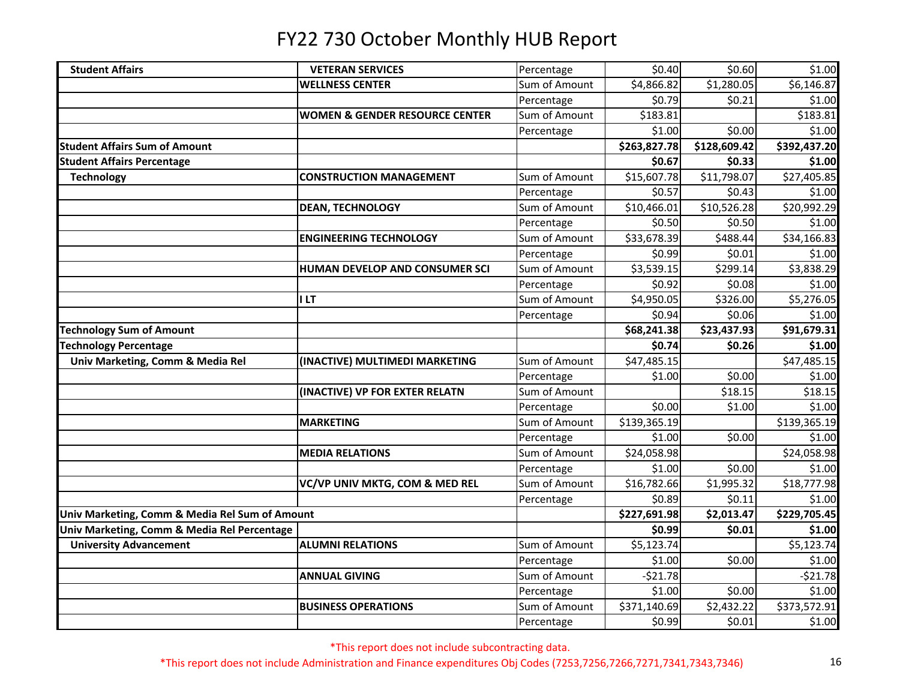| <b>Student Affairs</b>                         | <b>VETERAN SERVICES</b>                   | Percentage    | \$0.40       | \$0.60       | \$1.00       |
|------------------------------------------------|-------------------------------------------|---------------|--------------|--------------|--------------|
|                                                | <b>WELLNESS CENTER</b>                    | Sum of Amount | \$4,866.82   | \$1,280.05   | \$6,146.87   |
|                                                |                                           | Percentage    | \$0.79       | \$0.21       | \$1.00       |
|                                                | <b>WOMEN &amp; GENDER RESOURCE CENTER</b> | Sum of Amount | \$183.81     |              | \$183.81     |
|                                                |                                           | Percentage    | \$1.00       | \$0.00       | \$1.00       |
| <b>Student Affairs Sum of Amount</b>           |                                           |               | \$263,827.78 | \$128,609.42 | \$392,437.20 |
| <b>Student Affairs Percentage</b>              |                                           |               | \$0.67       | \$0.33       | \$1.00       |
| <b>Technology</b>                              | <b>CONSTRUCTION MANAGEMENT</b>            | Sum of Amount | \$15,607.78  | \$11,798.07  | \$27,405.85  |
|                                                |                                           | Percentage    | \$0.57       | \$0.43       | \$1.00       |
|                                                | <b>DEAN, TECHNOLOGY</b>                   | Sum of Amount | \$10,466.01  | \$10,526.28  | \$20,992.29  |
|                                                |                                           | Percentage    | \$0.50       | \$0.50       | \$1.00       |
|                                                | <b>ENGINEERING TECHNOLOGY</b>             | Sum of Amount | \$33,678.39  | \$488.44     | \$34,166.83  |
|                                                |                                           | Percentage    | \$0.99       | \$0.01       | \$1.00       |
|                                                | HUMAN DEVELOP AND CONSUMER SCI            | Sum of Amount | \$3,539.15   | \$299.14     | \$3,838.29   |
|                                                |                                           | Percentage    | \$0.92       | \$0.08       | \$1.00       |
|                                                | <b>ILT</b>                                | Sum of Amount | \$4,950.05   | \$326.00     | \$5,276.05   |
|                                                |                                           | Percentage    | \$0.94       | \$0.06       | \$1.00       |
| <b>Technology Sum of Amount</b>                |                                           |               | \$68,241.38  | \$23,437.93  | \$91,679.31  |
| <b>Technology Percentage</b>                   |                                           |               | \$0.74       | \$0.26       | \$1.00       |
| Univ Marketing, Comm & Media Rel               | (INACTIVE) MULTIMEDI MARKETING            | Sum of Amount | \$47,485.15  |              | \$47,485.15  |
|                                                |                                           | Percentage    | \$1.00       | \$0.00       | \$1.00       |
|                                                | (INACTIVE) VP FOR EXTER RELATN            | Sum of Amount |              | \$18.15      | \$18.15      |
|                                                |                                           | Percentage    | \$0.00       | \$1.00       | \$1.00       |
|                                                | <b>MARKETING</b>                          | Sum of Amount | \$139,365.19 |              | \$139,365.19 |
|                                                |                                           | Percentage    | \$1.00       | \$0.00       | \$1.00       |
|                                                | <b>MEDIA RELATIONS</b>                    | Sum of Amount | \$24,058.98  |              | \$24,058.98  |
|                                                |                                           | Percentage    | \$1.00       | \$0.00       | \$1.00       |
|                                                | VC/VP UNIV MKTG, COM & MED REL            | Sum of Amount | \$16,782.66  | \$1,995.32   | \$18,777.98  |
|                                                |                                           | Percentage    | \$0.89       | \$0.11       | \$1.00       |
| Univ Marketing, Comm & Media Rel Sum of Amount |                                           |               | \$227,691.98 | \$2,013.47   | \$229,705.45 |
| Univ Marketing, Comm & Media Rel Percentage    |                                           |               | \$0.99       | \$0.01       | \$1.00       |
| <b>University Advancement</b>                  | <b>ALUMNI RELATIONS</b>                   | Sum of Amount | \$5,123.74   |              | \$5,123.74   |
|                                                |                                           | Percentage    | \$1.00       | \$0.00       | \$1.00       |
|                                                | <b>ANNUAL GIVING</b>                      | Sum of Amount | $-521.78$    |              | $-521.78$    |
|                                                |                                           | Percentage    | \$1.00       | \$0.00       | \$1.00       |
|                                                | <b>BUSINESS OPERATIONS</b>                | Sum of Amount | \$371,140.69 | \$2,432.22   | \$373,572.91 |
|                                                |                                           | Percentage    | \$0.99       | \$0.01       | \$1.00       |

\*This report does not include subcontracting data.